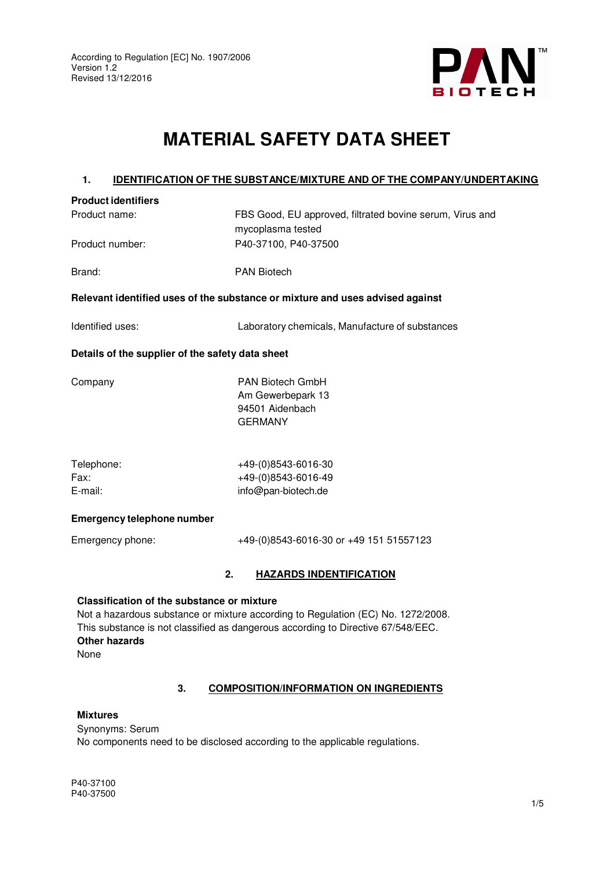

# **MATERIAL SAFETY DATA SHEET**

#### **1. IDENTIFICATION OF THE SUBSTANCE/MIXTURE AND OF THE COMPANY/UNDERTAKING**

| <b>Product identifiers</b> |                                                          |
|----------------------------|----------------------------------------------------------|
| Product name:              | FBS Good, EU approved, filtrated bovine serum, Virus and |
|                            | mycoplasma tested                                        |
| Product number:            | P40-37100, P40-37500                                     |

Brand: PAN Biotech

#### **Relevant identified uses of the substance or mixture and uses advised against**

Identified uses: Laboratory chemicals, Manufacture of substances

#### **Details of the supplier of the safety data sheet**

Company PAN Biotech GmbH Am Gewerbepark 13 94501 Aidenbach GERMANY

| Telephone: | +49-(0)8543-6016-30 |
|------------|---------------------|
| Fax:       | +49-(0)8543-6016-49 |
| E-mail:    | info@pan-biotech.de |

#### **Emergency telephone number**

Emergency phone: +49-(0)8543-6016-30 or +49 151 51557123

#### **2. HAZARDS INDENTIFICATION**

#### **Classification of the substance or mixture**

Not a hazardous substance or mixture according to Regulation (EC) No. 1272/2008. This substance is not classified as dangerous according to Directive 67/548/EEC. **Other hazards** None

#### **3. COMPOSITION/INFORMATION ON INGREDIENTS**

#### **Mixtures**

Synonyms: Serum No components need to be disclosed according to the applicable regulations.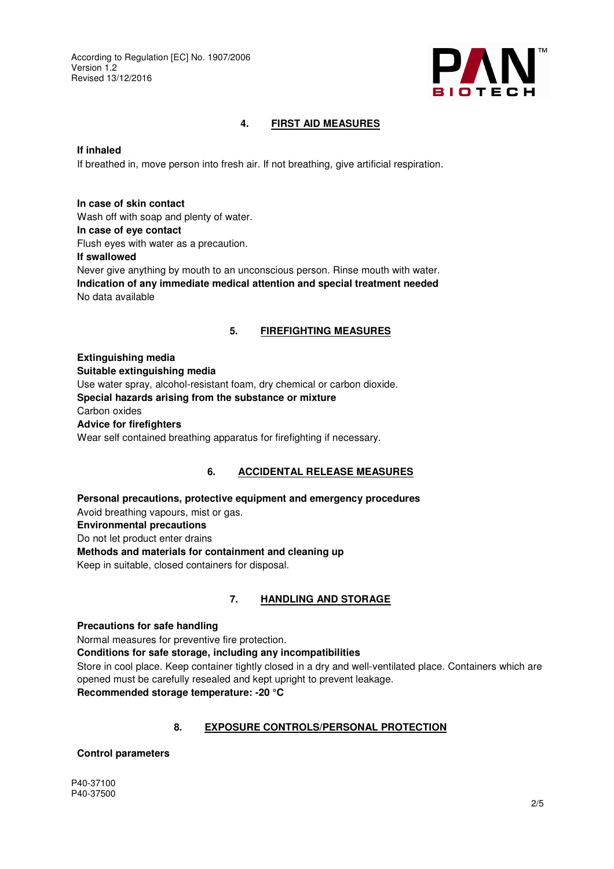

#### **4. FIRST AID MEASURES**

#### **If inhaled**

If breathed in, move person into fresh air. If not breathing, give artificial respiration.

**In case of skin contact**  Wash off with soap and plenty of water. **In case of eye contact**  Flush eyes with water as a precaution. **If swallowed**  Never give anything by mouth to an unconscious person. Rinse mouth with water. **Indication of any immediate medical attention and special treatment needed**  No data available

#### **5. FIREFIGHTING MEASURES**

**Extinguishing media Suitable extinguishing media**  Use water spray, alcohol-resistant foam, dry chemical or carbon dioxide. **Special hazards arising from the substance or mixture**  Carbon oxides **Advice for firefighters**  Wear self contained breathing apparatus for firefighting if necessary.

#### **6. ACCIDENTAL RELEASE MEASURES**

**Personal precautions, protective equipment and emergency procedures**  Avoid breathing vapours, mist or gas. **Environmental precautions**  Do not let product enter drains **Methods and materials for containment and cleaning up**  Keep in suitable, closed containers for disposal.

#### **7. HANDLING AND STORAGE**

#### **Precautions for safe handling**

Normal measures for preventive fire protection.

#### **Conditions for safe storage, including any incompatibilities**

Store in cool place. Keep container tightly closed in a dry and well-ventilated place. Containers which are opened must be carefully resealed and kept upright to prevent leakage.

**Recommended storage temperature: -20 °C**

#### **8. EXPOSURE CONTROLS/PERSONAL PROTECTION**

#### **Control parameters**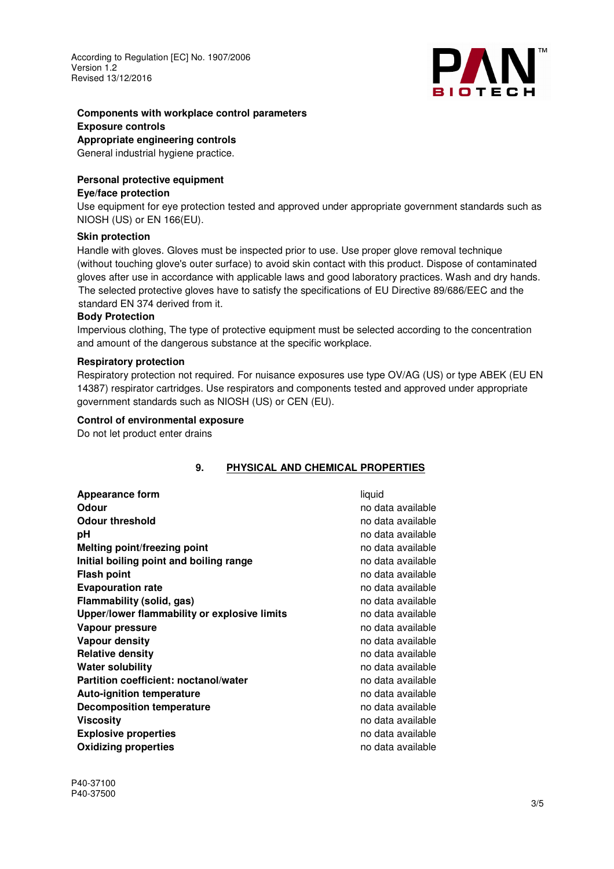

#### **Components with workplace control parameters Exposure controls**

### **Appropriate engineering controls**

General industrial hygiene practice.

## **Personal protective equipment**

#### **Eye/face protection**

Use equipment for eye protection tested and approved under appropriate government standards such as NIOSH (US) or EN 166(EU).

#### **Skin protection**

Handle with gloves. Gloves must be inspected prior to use. Use proper glove removal technique (without touching glove's outer surface) to avoid skin contact with this product. Dispose of contaminated gloves after use in accordance with applicable laws and good laboratory practices. Wash and dry hands. The selected protective gloves have to satisfy the specifications of EU Directive 89/686/EEC and the standard EN 374 derived from it.

#### **Body Protection**

Impervious clothing, The type of protective equipment must be selected according to the concentration and amount of the dangerous substance at the specific workplace.

#### **Respiratory protection**

Respiratory protection not required. For nuisance exposures use type OV/AG (US) or type ABEK (EU EN 14387) respirator cartridges. Use respirators and components tested and approved under appropriate government standards such as NIOSH (US) or CEN (EU).

#### **Control of environmental exposure**

Do not let product enter drains

#### **9. PHYSICAL AND CHEMICAL PROPERTIES**

| Appearance form                              | liquid            |
|----------------------------------------------|-------------------|
| <b>Odour</b>                                 | no data available |
| <b>Odour threshold</b>                       | no data available |
| рH                                           | no data available |
| Melting point/freezing point                 | no data available |
| Initial boiling point and boiling range      | no data available |
| <b>Flash point</b>                           | no data available |
| <b>Evapouration rate</b>                     | no data available |
| Flammability (solid, gas)                    | no data available |
| Upper/lower flammability or explosive limits | no data available |
| Vapour pressure                              | no data available |
| Vapour density                               | no data available |
| <b>Relative density</b>                      | no data available |
| Water solubility                             | no data available |
| Partition coefficient: noctanol/water        | no data available |
| <b>Auto-ignition temperature</b>             | no data available |
| <b>Decomposition temperature</b>             | no data available |
| <b>Viscosity</b>                             | no data available |
| <b>Explosive properties</b>                  | no data available |
| <b>Oxidizing properties</b>                  | no data available |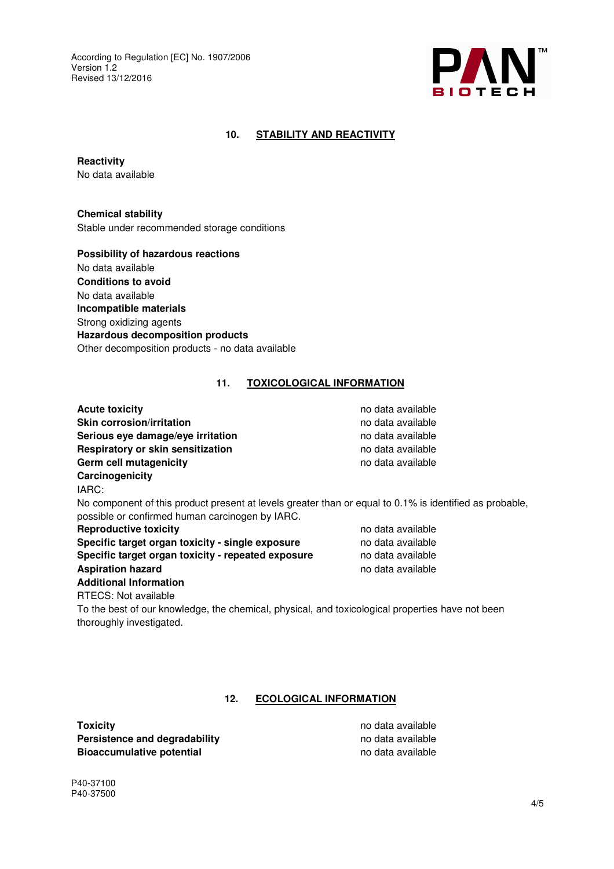

#### **10. STABILITY AND REACTIVITY**

**Reactivity** 

No data available

**Chemical stability** 

Stable under recommended storage conditions

**Possibility of hazardous reactions**  No data available **Conditions to avoid**  No data available **Incompatible materials**  Strong oxidizing agents **Hazardous decomposition products**  Other decomposition products - no data available

#### **11. TOXICOLOGICAL INFORMATION**

| no data available                                                                                       |  |  |  |  |
|---------------------------------------------------------------------------------------------------------|--|--|--|--|
| no data available                                                                                       |  |  |  |  |
| no data available                                                                                       |  |  |  |  |
| no data available                                                                                       |  |  |  |  |
| no data available                                                                                       |  |  |  |  |
|                                                                                                         |  |  |  |  |
|                                                                                                         |  |  |  |  |
| No component of this product present at levels greater than or equal to 0.1% is identified as probable, |  |  |  |  |
|                                                                                                         |  |  |  |  |
| no data available                                                                                       |  |  |  |  |
| no data available                                                                                       |  |  |  |  |
| no data available                                                                                       |  |  |  |  |
| no data available                                                                                       |  |  |  |  |
|                                                                                                         |  |  |  |  |
|                                                                                                         |  |  |  |  |
|                                                                                                         |  |  |  |  |

To the best of our knowledge, the chemical, physical, and toxicological properties have not been thoroughly investigated.

#### **12. ECOLOGICAL INFORMATION**

**Toxicity no data available Persistence and degradability no data available no data available Bioaccumulative potential and available** no data available